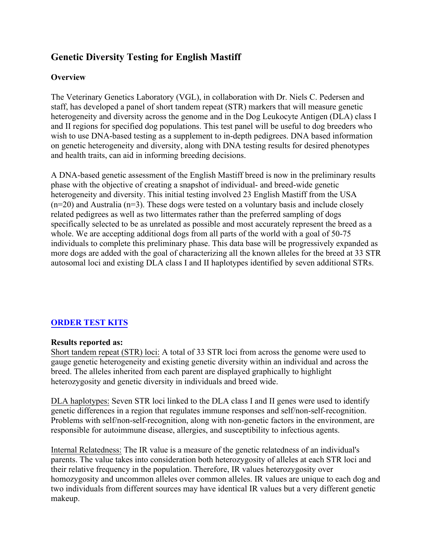# **Genetic Diversity Testing for English Mastiff**

# **Overview**

The Veterinary Genetics Laboratory (VGL), in collaboration with Dr. Niels C. Pedersen and staff, has developed a panel of short tandem repeat (STR) markers that will measure genetic heterogeneity and diversity across the genome and in the Dog Leukocyte Antigen (DLA) class I and II regions for specified dog populations. This test panel will be useful to dog breeders who wish to use DNA-based testing as a supplement to in-depth pedigrees. DNA based information on genetic heterogeneity and diversity, along with DNA testing results for desired phenotypes and health traits, can aid in informing breeding decisions.

A DNA-based genetic assessment of the English Mastiff breed is now in the preliminary results phase with the objective of creating a snapshot of individual- and breed-wide genetic heterogeneity and diversity. This initial testing involved 23 English Mastiff from the USA  $(n=20)$  and Australia  $(n=3)$ . These dogs were tested on a voluntary basis and include closely related pedigrees as well as two littermates rather than the preferred sampling of dogs specifically selected to be as unrelated as possible and most accurately represent the breed as a whole. We are accepting additional dogs from all parts of the world with a goal of 50-75 individuals to complete this preliminary phase. This data base will be progressively expanded as more dogs are added with the goal of characterizing all the known alleles for the breed at 33 STR autosomal loci and existing DLA class I and II haplotypes identified by seven additional STRs.

# **[ORDER TEST KITS](https://www.vgl.ucdavis.edu/myvgl/dogsporder.html)**

#### **Results reported as:**

Short tandem repeat (STR) loci: A total of 33 STR loci from across the genome were used to gauge genetic heterogeneity and existing genetic diversity within an individual and across the breed. The alleles inherited from each parent are displayed graphically to highlight heterozygosity and genetic diversity in individuals and breed wide.

DLA haplotypes: Seven STR loci linked to the DLA class I and II genes were used to identify genetic differences in a region that regulates immune responses and self/non-self-recognition. Problems with self/non-self-recognition, along with non-genetic factors in the environment, are responsible for autoimmune disease, allergies, and susceptibility to infectious agents.

Internal Relatedness: The IR value is a measure of the genetic relatedness of an individual's parents. The value takes into consideration both heterozygosity of alleles at each STR loci and their relative frequency in the population. Therefore, IR values heterozygosity over homozygosity and uncommon alleles over common alleles. IR values are unique to each dog and two individuals from different sources may have identical IR values but a very different genetic makeup.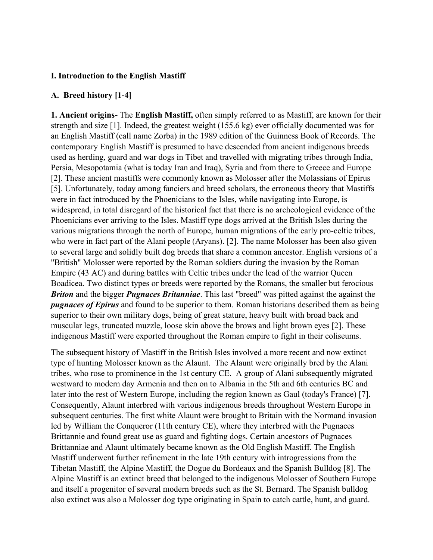#### **I. Introduction to the English Mastiff**

#### **A. Breed history [1-4]**

**1. Ancient origins-** The **English Mastiff,** often simply referred to as Mastiff, are known for their strength and size [1]. Indeed, the greatest weight (155.6 kg) ever officially documented was for an English Mastiff (call name Zorba) in the 1989 edition of the Guinness Book of Records. The contemporary English Mastiff is presumed to have descended from ancient indigenous breeds used as herding, guard and war dogs in Tibet and travelled with migrating tribes through India, Persia, Mesopotamia (what is today Iran and Iraq), Syria and from there to Greece and Europe [2]. These ancient mastiffs were commonly known as Molosser after the Molassians of Epirus [5]. Unfortunately, today among fanciers and breed scholars, the erroneous theory that Mastiffs were in fact introduced by the Phoenicians to the Isles, while navigating into Europe, is widespread, in total disregard of the historical fact that there is no archeological evidence of the Phoenicians ever arriving to the Isles. Mastiff type dogs arrived at the British Isles during the various migrations through the north of Europe, human migrations of the early pro-celtic tribes, who were in fact part of the Alani people (Aryans). [2]. The name Molosser has been also given to several large and solidly built [dog breeds](https://en.wikipedia.org/wiki/Dog_breeds) that share a common ancestor. English versions of a "British" Molosser were reported by the Roman soldiers during the invasion by the Roman Empire (43 AC) and during battles with Celtic tribes under the lead of the warrior Queen Boadicea. Two distinct types or breeds were reported by the Romans, the smaller but ferocious *Briton* and the bigger *Pugnaces Britanniae*. This last "breed" was pitted against the against the *pugnaces of Epirus* and found to be superior to them. Roman historians described them as being superior to their own military dogs, being of great stature, heavy built with broad back and muscular legs, truncated muzzle, loose skin above the brows and light brown eyes [2]. These indigenous Mastiff were exported throughout the Roman empire to fight in their coliseums.

The subsequent history of Mastiff in the British Isles involved a more recent and now extinct type of hunting Molosser known as the Alaunt. The Alaunt were originally bred by the Alani tribes, who rose to prominence in the 1st century CE. A group of Alani subsequently migrated westward to modern day Armenia and then on to Albania in the 5th and 6th centuries BC and later into the rest of Western Europe, including the region known as Gaul (today's France) [7]. Consequently, Alaunt interbred with various indigenous breeds throughout Western Europe in subsequent centuries. The first white Alaunt were brought to Britain with the Normand invasion led by William the Conqueror (11th century CE), where they interbred with the Pugnaces Brittannie and found great use as guard and fighting dogs. Certain ancestors of Pugnaces Brittanniae and Alaunt ultimately became known as the Old English Mastiff. The English Mastiff underwent further refinement in the late 19th century with introgressions from the Tibetan Mastiff, the Alpine Mastiff, the Dogue du Bordeaux and the Spanish Bulldog [8]. The Alpine Mastiff is an extinct breed that belonged to the indigenous Molosser of Southern Europe and itself a progenitor of several modern breeds such as the St. Bernard. The Spanish bulldog also extinct was also a Molosser dog type originating in Spain to catch cattle, hunt, and guard.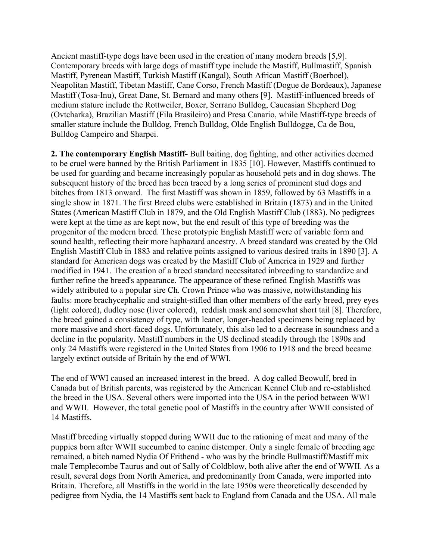Ancient mastiff-type dogs have been used in the creation of many modern breeds [5,9]. Contemporary breeds with large dogs of mastiff type include the Mastiff, Bullmastiff, Spanish Mastiff, Pyrenean Mastiff, Turkish Mastiff (Kangal), South African Mastiff (Boerboel), Neapolitan Mastiff, Tibetan Mastiff, Cane Corso, French Mastiff (Dogue de Bordeaux), Japanese Mastiff (Tosa-Inu), Great Dane, St. Bernard and many others [9]. Mastiff-influenced breeds of medium stature include the Rottweiler, Boxer, Serrano Bulldog, Caucasian Shepherd Dog (Ovtcharka), Brazilian Mastiff (Fila Brasileiro) and Presa Canario, while Mastiff-type breeds of smaller stature include the Bulldog, French Bulldog, Olde English Bulldogge, Ca de Bou, Bulldog Campeiro and Sharpei.

**2. The contemporary English Mastiff-** Bull baiting, dog fighting, and other activities deemed to be cruel were banned by the British Parliament in 1835 [10]. However, Mastiffs continued to be used for guarding and became increasingly popular as household pets and in dog shows. The subsequent history of the breed has been traced by a long series of prominent stud dogs and bitches from 1813 onward. The first Mastiff was shown in 1859, followed by 63 Mastiffs in a single show in 1871. The first Breed clubs were established in Britain (1873) and in the United States (American Mastiff Club in 1879, and the Old English Mastiff Club (1883). No pedigrees were kept at the time as are kept now, but the end result of this type of breeding was the progenitor of the modern breed. These prototypic English Mastiff were of variable form and sound health, reflecting their more haphazard ancestry. A breed standard was created by the Old English Mastiff Club in 1883 and relative points assigned to various desired traits in 1890 [3]. A standard for American dogs was created by the Mastiff Club of America in 1929 and further modified in 1941. The creation of a breed standard necessitated inbreeding to standardize and further refine the breed's appearance. The appearance of these refined English Mastiffs was widely attributed to a popular sire Ch. Crown Prince who was massive, notwithstanding his faults: more brachycephalic and straight-stifled than other members of the early breed, prey eyes (light colored), dudley nose (liver colored), reddish mask and somewhat short tail [8]. Therefore, the breed gained a consistency of type, with leaner, longer-headed specimens being replaced by more massive and short-faced dogs. Unfortunately, this also led to a decrease in soundness and a decline in the popularity. Mastiff numbers in the US declined steadily through the 1890s and only 24 Mastiffs were registered in the United States from 1906 to 1918 and the breed became largely extinct outside of Britain by the end of WWI.

The end of WWI caused an increased interest in the breed. A dog called Beowulf, bred in Canada but of British parents, was registered by the American Kennel Club and re-established the breed in the USA. Several others were imported into the USA in the period between WWI and WWII. However, the total genetic pool of Mastiffs in the country after WWII consisted of 14 Mastiffs.

Mastiff breeding virtually stopped during WWII due to the rationing of meat and many of the puppies born after WWII succumbed to [canine distemper.](https://en.wikipedia.org/wiki/Canine_distemper) Only a single female of breeding age remained, a bitch named Nydia Of Frithend - who was by the brindle Bullmastiff/Mastiff mix male Templecombe Taurus and out of Sally of Coldblow, both alive after the end of WWII. As a result, several dogs from North America, and predominantly from Canada, were imported into Britain. Therefore, all Mastiffs in the world in the late 1950s were theoretically descended by pedigree from Nydia, the 14 Mastiffs sent back to England from Canada and the USA. All male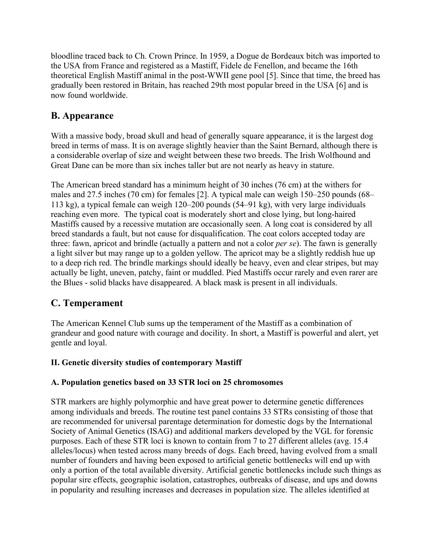bloodline traced back to Ch. Crown Prince. In 1959, a Dogue de Bordeaux bitch was imported to the USA from France and registered as a Mastiff, Fidele de Fenellon, and became the 16th theoretical English Mastiff animal in the post-WWII gene pool [5]. Since that time, the breed has gradually been restored in Britain, has reached 29th most popular breed in the USA [6] and is now found worldwide.

# **B. Appearance**

With a massive body, broad skull and head of generally square appearance, it is the largest dog breed in terms of mass. It is on average slightly heavier than the Saint Bernard, although there is a considerable overlap of size and weight between these two breeds. The Irish Wolfhound and Great Dane can be more than six inches taller but are not nearly as heavy in stature.

The American breed standard has a minimum height of 30 inches (76 cm) at the withers for males and 27.5 inches (70 cm) for females [2]. A typical male can weigh 150–250 pounds (68– 113 kg), a typical female can weigh 120–200 pounds (54–91 kg), with very large individuals reaching even more. The typical coat is moderately short and close lying, but long-haired Mastiffs caused by a recessive mutation are occasionally seen. A long coat is considered by all breed standards a fault, but not cause for disqualification. The coat colors accepted today are three: fawn, apricot and brindle (actually a pattern and not a color *per se*). The fawn is generally a light silver but may range up to a golden yellow. The apricot may be a slightly reddish hue up to a deep rich red. The brindle markings should ideally be heavy, even and clear stripes, but may actually be light, uneven, patchy, faint or muddled. Pied Mastiffs occur rarely and even rarer are the Blues - solid blacks have disappeared. A black mask is present in all individuals.

# **C. Temperament**

The American Kennel Club sums up the temperament of the Mastiff as a combination of grandeur and good nature with courage and docility. In short, a Mastiff is powerful and alert, yet gentle and loyal.

# **II. Genetic diversity studies of contemporary Mastiff**

# **A. Population genetics based on 33 STR loci on 25 chromosomes**

STR markers are highly polymorphic and have great power to determine genetic differences among individuals and breeds. The routine test panel contains 33 STRs consisting of those that are recommended for universal parentage determination for domestic dogs by the International Society of Animal Genetics (ISAG) and additional markers developed by the VGL for forensic purposes. Each of these STR loci is known to contain from 7 to 27 different alleles (avg. 15.4 alleles/locus) when tested across many breeds of dogs. Each breed, having evolved from a small number of founders and having been exposed to artificial genetic bottlenecks will end up with only a portion of the total available diversity. Artificial genetic bottlenecks include such things as popular sire effects, geographic isolation, catastrophes, outbreaks of disease, and ups and downs in popularity and resulting increases and decreases in population size. The alleles identified at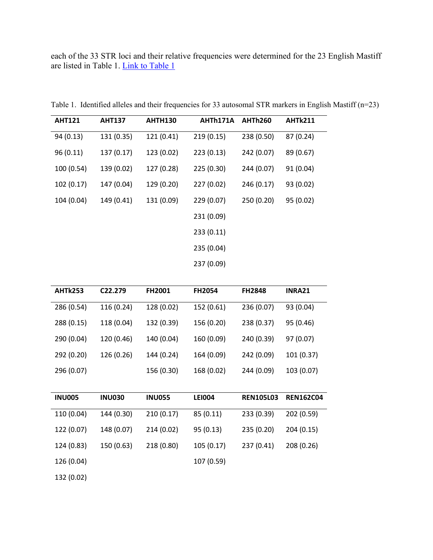each of the 33 STR loci and their relative frequencies were determined for the 23 English Mastiff are listed in Table 1. [Link to Table 1](https://www.vgl.ucdavis.edu/services/dog/GeneticDiversityInEnglishMastiffSTRInfo.php)

| <b>AHT121</b> | <b>AHT137</b> | <b>AHTH130</b> | AHTh171A   | <b>AHTh260</b> | <b>AHTk211</b> |
|---------------|---------------|----------------|------------|----------------|----------------|
| 94 (0.13)     | 131 (0.35)    | 121 (0.41)     | 219(0.15)  | 238 (0.50)     | 87 (0.24)      |
| 96(0.11)      | 137 (0.17)    | 123 (0.02)     | 223(0.13)  | 242 (0.07)     | 89 (0.67)      |
| 100 (0.54)    | 139 (0.02)    | 127 (0.28)     | 225 (0.30) | 244 (0.07)     | 91 (0.04)      |
| 102(0.17)     | 147 (0.04)    | 129 (0.20)     | 227 (0.02) | 246 (0.17)     | 93 (0.02)      |
| 104 (0.04)    | 149 (0.41)    | 131 (0.09)     | 229 (0.07) | 250 (0.20)     | 95 (0.02)      |
|               |               |                | 231 (0.09) |                |                |
|               |               |                | 233(0.11)  |                |                |
|               |               |                | 235 (0.04) |                |                |
|               |               |                | 237 (0.09) |                |                |

Table 1. Identified alleles and their frequencies for 33 autosomal STR markers in English Mastiff (n=23)

| <b>AHTk253</b> | C <sub>22</sub> .279 | <b>FH2001</b> | <b>FH2054</b> | <b>FH2848</b> | INRA21     |
|----------------|----------------------|---------------|---------------|---------------|------------|
| 286 (0.54)     | 116 (0.24)           | 128 (0.02)    | 152 (0.61)    | 236 (0.07)    | 93 (0.04)  |
| 288 (0.15)     | 118 (0.04)           | 132 (0.39)    | 156 (0.20)    | 238 (0.37)    | 95 (0.46)  |
| 290 (0.04)     | 120 (0.46)           | 140 (0.04)    | 160 (0.09)    | 240 (0.39)    | 97 (0.07)  |
| 292 (0.20)     | 126 (0.26)           | 144 (0.24)    | 164 (0.09)    | 242 (0.09)    | 101 (0.37) |
| 296 (0.07)     |                      | 156 (0.30)    | 168 (0.02)    | 244 (0.09)    | 103 (0.07) |

| <b>INU005</b> | <b>INU030</b> | <b>INU055</b> | <b>LEI004</b> | <b>REN105L03</b> | <b>REN162C04</b> |
|---------------|---------------|---------------|---------------|------------------|------------------|
| 110 (0.04)    | 144 (0.30)    | 210(0.17)     | 85(0.11)      | 233 (0.39)       | 202 (0.59)       |
| 122 (0.07)    | 148 (0.07)    | 214 (0.02)    | 95(0.13)      | 235 (0.20)       | 204 (0.15)       |
| 124 (0.83)    | 150 (0.63)    | 218 (0.80)    | 105(0.17)     | 237 (0.41)       | 208 (0.26)       |
| 126 (0.04)    |               |               | 107 (0.59)    |                  |                  |
| 132 (0.02)    |               |               |               |                  |                  |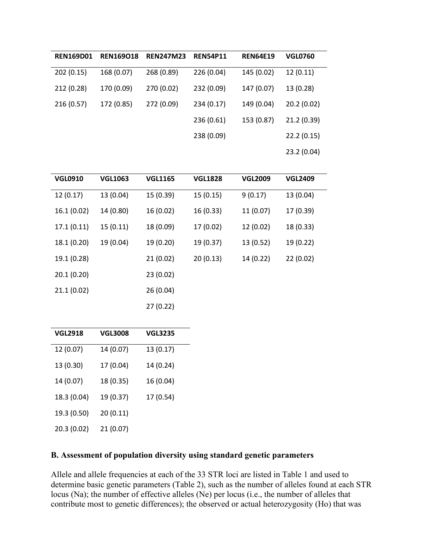| <b>REN169D01</b> | <b>REN169018</b> | <b>REN247M23</b> | <b>REN54P11</b> | <b>REN64E19</b> | <b>VGL0760</b> |
|------------------|------------------|------------------|-----------------|-----------------|----------------|
| 202 (0.15)       | 168 (0.07)       | 268 (0.89)       | 226 (0.04)      | 145 (0.02)      | 12(0.11)       |
| 212 (0.28)       | 170 (0.09)       | 270 (0.02)       | 232 (0.09)      | 147 (0.07)      | 13 (0.28)      |
| 216 (0.57)       | 172 (0.85)       | 272 (0.09)       | 234 (0.17)      | 149 (0.04)      | 20.2(0.02)     |
|                  |                  |                  | 236 (0.61)      | 153 (0.87)      | 21.2(0.39)     |
|                  |                  |                  | 238 (0.09)      |                 | 22.2(0.15)     |
|                  |                  |                  |                 |                 | 23.2 (0.04)    |

| <b>VGL0910</b> | <b>VGL1063</b> | <b>VGL1165</b> | <b>VGL1828</b> | <b>VGL2009</b> | <b>VGL2409</b> |
|----------------|----------------|----------------|----------------|----------------|----------------|
| 12(0.17)       | 13 (0.04)      | 15 (0.39)      | 15 (0.15)      | 9(0.17)        | 13 (0.04)      |
| 16.1(0.02)     | 14 (0.80)      | 16 (0.02)      | 16 (0.33)      | 11 (0.07)      | 17 (0.39)      |
| 17.1(0.11)     | 15(0.11)       | 18 (0.09)      | 17 (0.02)      | 12 (0.02)      | 18 (0.33)      |
| 18.1 (0.20)    | 19 (0.04)      | 19 (0.20)      | 19 (0.37)      | 13 (0.52)      | 19 (0.22)      |
| 19.1 (0.28)    |                | 21(0.02)       | 20(0.13)       | 14 (0.22)      | 22(0.02)       |
| 20.1(0.20)     |                | 23(0.02)       |                |                |                |
| 21.1(0.02)     |                | 26 (0.04)      |                |                |                |
|                |                | 27(0.22)       |                |                |                |

| <b>VGL2918</b> | <b>VGL3008</b> | <b>VGL3235</b> |
|----------------|----------------|----------------|
| 12 (0.07)      | 14 (0.07)      | 13 (0.17)      |
| 13 (0.30)      | 17 (0.04)      | 14 (0.24)      |
| 14 (0.07)      | 18 (0.35)      | 16 (0.04)      |
| 18.3 (0.04)    | 19 (0.37)      | 17 (0.54)      |
| 19.3 (0.50)    | 20(0.11)       |                |
| 20.3 (0.02)    | 21 (0.07)      |                |

# **B. Assessment of population diversity using standard genetic parameters**

Allele and allele frequencies at each of the 33 STR loci are listed in Table 1 and used to determine basic genetic parameters (Table 2), such as the number of alleles found at each STR locus (Na); the number of effective alleles (Ne) per locus (i.e., the number of alleles that contribute most to genetic differences); the observed or actual heterozygosity (Ho) that was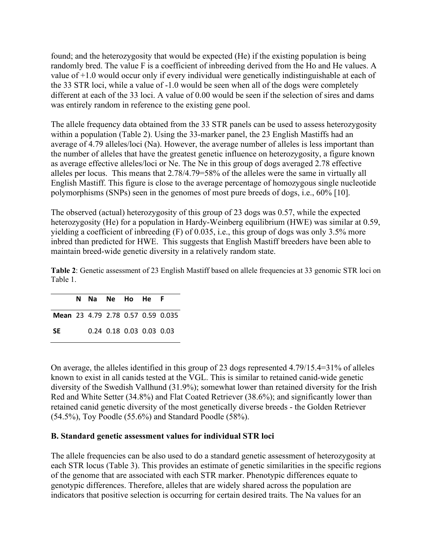found; and the heterozygosity that would be expected (He) if the existing population is being randomly bred. The value F is a coefficient of inbreeding derived from the Ho and He values. A value of +1.0 would occur only if every individual were genetically indistinguishable at each of the 33 STR loci, while a value of -1.0 would be seen when all of the dogs were completely different at each of the 33 loci. A value of 0.00 would be seen if the selection of sires and dams was entirely random in reference to the existing gene pool.

The allele frequency data obtained from the 33 STR panels can be used to assess heterozygosity within a population (Table 2). Using the 33-marker panel, the 23 English Mastiffs had an average of 4.79 alleles/loci (Na). However, the average number of alleles is less important than the number of alleles that have the greatest genetic influence on heterozygosity, a figure known as average effective alleles/loci or Ne. The Ne in this group of dogs averaged 2.78 effective alleles per locus. This means that 2.78/4.79=58% of the alleles were the same in virtually all English Mastiff. This figure is close to the average percentage of homozygous single nucleotide polymorphisms (SNPs) seen in the genomes of most pure breeds of dogs, i.e., 60% [10].

The observed (actual) heterozygosity of this group of 23 dogs was 0.57, while the expected heterozygosity (He) for a population in Hardy-Weinberg equilibrium (HWE) was similar at 0.59, yielding a coefficient of inbreeding (F) of 0.035, i.e., this group of dogs was only 3.5% more inbred than predicted for HWE. This suggests that English Mastiff breeders have been able to maintain breed-wide genetic diversity in a relatively random state.

**Table 2**: Genetic assessment of 23 English Mastiff based on allele frequencies at 33 genomic STR loci on Table 1.

|                                   | N Na Ne Ho He F |                          |  |  |
|-----------------------------------|-----------------|--------------------------|--|--|
| Mean 23 4.79 2.78 0.57 0.59 0.035 |                 |                          |  |  |
| <b>SE</b>                         |                 | 0.24 0.18 0.03 0.03 0.03 |  |  |

On average, the alleles identified in this group of 23 dogs represented 4.79/15.4=31% of alleles known to exist in all canids tested at the VGL. This is similar to retained canid-wide genetic diversity of the Swedish Vallhund (31.9%); somewhat lower than retained diversity for the Irish Red and White Setter (34.8%) and Flat Coated Retriever (38.6%); and significantly lower than retained canid genetic diversity of the most genetically diverse breeds - the Golden Retriever (54.5%), Toy Poodle (55.6%) and Standard Poodle (58%).

#### **B. Standard genetic assessment values for individual STR loci**

The allele frequencies can be also used to do a standard genetic assessment of heterozygosity at each STR locus (Table 3). This provides an estimate of genetic similarities in the specific regions of the genome that are associated with each STR marker. Phenotypic differences equate to genotypic differences. Therefore, alleles that are widely shared across the population are indicators that positive selection is occurring for certain desired traits. The Na values for an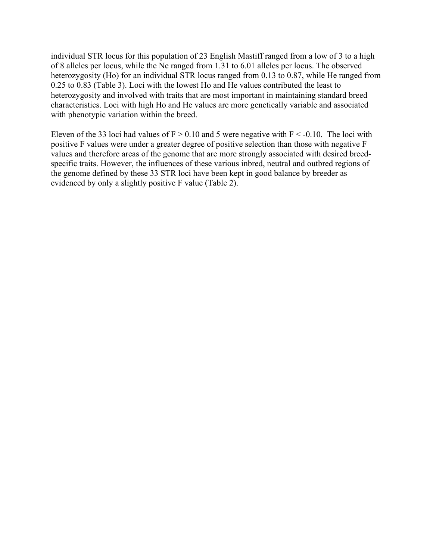individual STR locus for this population of 23 English Mastiff ranged from a low of 3 to a high of 8 alleles per locus, while the Ne ranged from 1.31 to 6.01 alleles per locus. The observed heterozygosity (Ho) for an individual STR locus ranged from 0.13 to 0.87, while He ranged from 0.25 to 0.83 (Table 3). Loci with the lowest Ho and He values contributed the least to heterozygosity and involved with traits that are most important in maintaining standard breed characteristics. Loci with high Ho and He values are more genetically variable and associated with phenotypic variation within the breed.

Eleven of the 33 loci had values of  $F > 0.10$  and 5 were negative with  $F < -0.10$ . The loci with positive F values were under a greater degree of positive selection than those with negative F values and therefore areas of the genome that are more strongly associated with desired breedspecific traits. However, the influences of these various inbred, neutral and outbred regions of the genome defined by these 33 STR loci have been kept in good balance by breeder as evidenced by only a slightly positive F value (Table 2).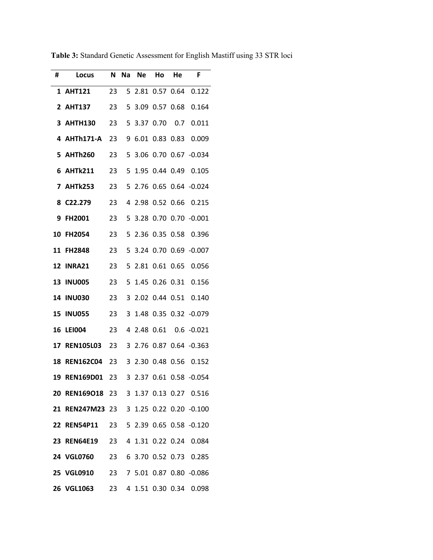| #  | Locus            | N  | Na           | Ne     | Ho   | He               | F                       |
|----|------------------|----|--------------|--------|------|------------------|-------------------------|
|    | 1 AHT121         | 23 |              |        |      |                  | 5 2.81 0.57 0.64 0.122  |
|    | <b>2 AHT137</b>  | 23 | 5            | 3.09   |      |                  | 0.57 0.68 0.164         |
| 3  | <b>AHTH130</b>   | 23 | 5            | 3.37   | 0.70 | 0.7              | 0.011                   |
| 4  | AHTh171-A        | 23 | 9            | 6.01   |      | $0.83$ $0.83$    | 0.009                   |
|    | 5 AHTh260        | 23 | 5            | 3.06   |      |                  | $0.70$ $0.67$ $-0.034$  |
| 6  | <b>AHTk211</b>   | 23 | 5            | 1.95   |      | 0.44 0.49        | 0.105                   |
| 7  | <b>AHTk253</b>   | 23 |              | 5 2.76 |      |                  | $0.65$ $0.64$ $-0.024$  |
| 8  | C22.279          | 23 | 4            | 2.98   |      | 0.52 0.66        | 0.215                   |
| 9  | <b>FH2001</b>    | 23 | 5            | 3.28   |      |                  | $0.70$ $0.70$ $-0.001$  |
| 10 | <b>FH2054</b>    | 23 | 5.           | 2.36   | 0.35 | 0.58             | 0.396                   |
|    | 11 FH2848        | 23 | 5            |        |      |                  | 3.24 0.70 0.69 -0.007   |
| 12 | INRA21           | 23 | 5            | 2.81   |      |                  | 0.61 0.65 0.056         |
| 13 | <b>INU005</b>    | 23 | 5            |        |      | 1.45 0.26 0.31   | 0.156                   |
| 14 | <b>INU030</b>    | 23 | 3            | 2.02   |      |                  | 0.44 0.51 0.140         |
| 15 | <b>INU055</b>    | 23 | 3            | 1.48   |      |                  | 0.35 0.32 -0.079        |
| 16 | <b>LEI004</b>    | 23 | 4            | 2.48   | 0.61 |                  | $0.6 - 0.021$           |
| 17 | <b>REN105L03</b> | 23 | $\mathbf{3}$ | 2.76   |      |                  | 0.87 0.64 -0.363        |
| 18 | <b>REN162C04</b> | 23 | 3            | 2.30   | 0.48 | 0.56             | 0.152                   |
|    | 19 REN169D01 23  |    |              |        |      |                  | 3 2.37 0.61 0.58 -0.054 |
|    | 20 REN169O18 23  |    |              |        |      |                  | 3 1.37 0.13 0.27 0.516  |
|    | 21 REN247M23 23  |    |              |        |      |                  | 3 1.25 0.22 0.20 -0.100 |
|    | 22 REN54P11 23   |    |              |        |      |                  | 5 2.39 0.65 0.58 -0.120 |
|    | 23 REN64E19 23   |    |              |        |      | 4 1.31 0.22 0.24 | 0.084                   |
|    | 24 VGL0760 23    |    |              |        |      |                  | 6 3.70 0.52 0.73 0.285  |
|    | 25 VGL0910 23    |    |              |        |      |                  | 7 5.01 0.87 0.80 -0.086 |
|    | 26 VGL1063 23    |    |              |        |      | 4 1.51 0.30 0.34 | 0.098                   |

**Table 3:** Standard Genetic Assessment for English Mastiff using 33 STR loci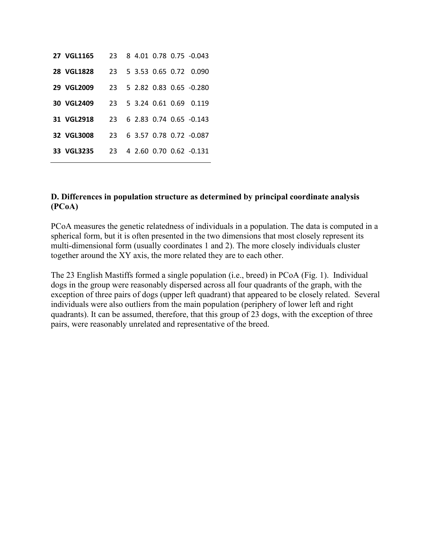| 27 VGL1165 | 23  |  |  | 8 4 01 0 78 0 75 -0 0 43   |
|------------|-----|--|--|----------------------------|
| 28 VGL1828 |     |  |  | 23 5 3.53 0.65 0.72 0.090  |
| 29 VGL2009 |     |  |  | 23 5 2.82 0.83 0.65 -0.280 |
| 30 VGL2409 |     |  |  | 23 5 3.24 0.61 0.69 0.119  |
| 31 VGL2918 | 23. |  |  | 6 2.83 0.74 0.65 -0.143    |
| 32 VGL3008 | 23. |  |  | 6 3.57 0.78 0.72 -0.087    |
| 33 VGL3235 | 23. |  |  | 4 2.60 0.70 0.62 -0.131    |

#### **D. Differences in population structure as determined by principal coordinate analysis (PCoA)**

PCoA measures the genetic relatedness of individuals in a population. The data is computed in a spherical form, but it is often presented in the two dimensions that most closely represent its multi-dimensional form (usually coordinates 1 and 2). The more closely individuals cluster together around the XY axis, the more related they are to each other.

The 23 English Mastiffs formed a single population (i.e., breed) in PCoA (Fig. 1). Individual dogs in the group were reasonably dispersed across all four quadrants of the graph, with the exception of three pairs of dogs (upper left quadrant) that appeared to be closely related. Several individuals were also outliers from the main population (periphery of lower left and right quadrants). It can be assumed, therefore, that this group of 23 dogs, with the exception of three pairs, were reasonably unrelated and representative of the breed.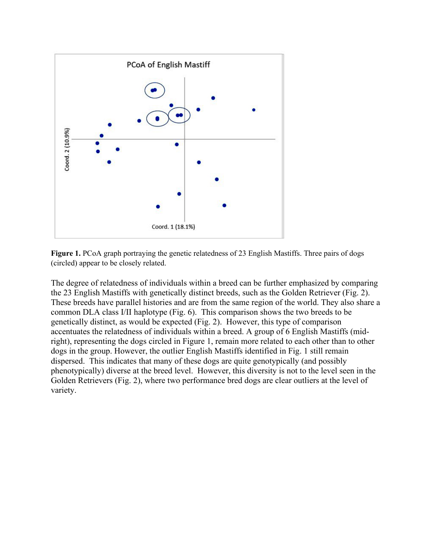

**Figure 1.** PCoA graph portraying the genetic relatedness of 23 English Mastiffs. Three pairs of dogs (circled) appear to be closely related.

The degree of relatedness of individuals within a breed can be further emphasized by comparing the 23 English Mastiffs with genetically distinct breeds, such as the Golden Retriever (Fig. 2). These breeds have parallel histories and are from the same region of the world. They also share a common DLA class I/II haplotype (Fig. 6). This comparison shows the two breeds to be genetically distinct, as would be expected (Fig. 2). However, this type of comparison accentuates the relatedness of individuals within a breed. A group of 6 English Mastiffs (midright), representing the dogs circled in Figure 1, remain more related to each other than to other dogs in the group. However, the outlier English Mastiffs identified in Fig. 1 still remain dispersed. This indicates that many of these dogs are quite genotypically (and possibly phenotypically) diverse at the breed level. However, this diversity is not to the level seen in the Golden Retrievers (Fig. 2), where two performance bred dogs are clear outliers at the level of variety.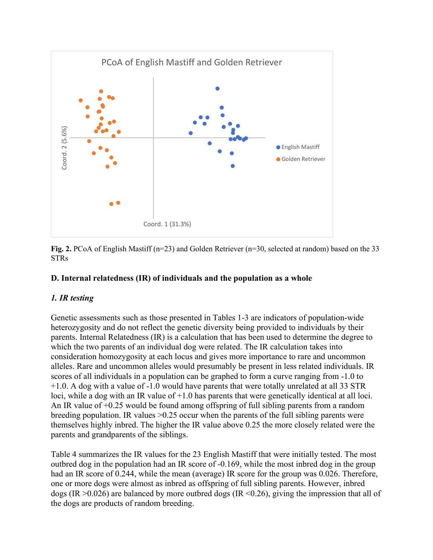

**Fig. 2.** PCoA of English Mastiff (n=23) and Golden Retriever (n=30, selected at random) based on the 33 STRs

### **D. Internal relatedness (IR) of individuals and the population as a whole**

# *1. IR testing*

Genetic assessments such as those presented in Tables 1-3 are indicators of population-wide heterozygosity and do not reflect the genetic diversity being provided to individuals by their parents. Internal Relatedness (IR) is a calculation that has been used to determine the degree to which the two parents of an individual dog were related. The IR calculation takes into consideration homozygosity at each locus and gives more importance to rare and uncommon alleles. Rare and uncommon alleles would presumably be present in less related individuals. IR scores of all individuals in a population can be graphed to form a curve ranging from -1.0 to +1.0. A dog with a value of -1.0 would have parents that were totally unrelated at all 33 STR loci, while a dog with an IR value of  $+1.0$  has parents that were genetically identical at all loci. An IR value of +0.25 would be found among offspring of full sibling parents from a random breeding population. IR values >0.25 occur when the parents of the full sibling parents were themselves highly inbred. The higher the IR value above 0.25 the more closely related were the parents and grandparents of the siblings. **Example 18.1**<br>
Fig. 2. PCoA of English Mastiff (n=23) and Goord. 1 (31.3%)<br>
Fig. 2. PCoA of English Mastiff (n=23) and GoSTRs<br> **D.** Internal relatedness (IR) of individual<br> *I. IR testing*<br>
Genetic assessments such as th

Table 4 summarizes the IR values for the 23 English Mastiff that were initially tested. The most outbred dog in the population had an IR score of -0.169, while the most inbred dog in the group had an IR score of 0.244, while the mean (average) IR score for the group was 0.026. Therefore, one or more dogs were almost as inbred as offspring of full sibling parents. However, inbred dogs (IR  $>0.026$ ) are balanced by more outbred dogs (IR  $\leq 0.26$ ), giving the impression that all of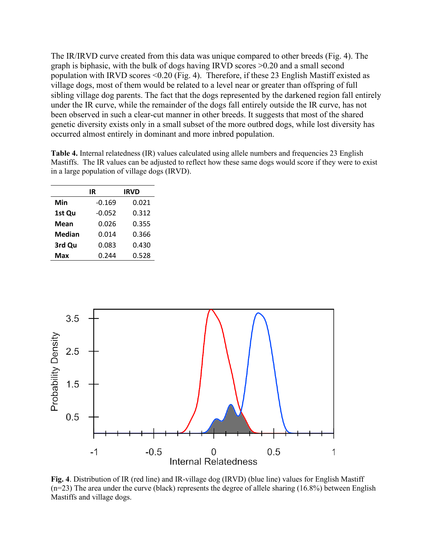The IR/IRVD curve created from this data was unique compared to other breeds (Fig. 4). The graph is biphasic, with the bulk of dogs having IRVD scores >0.20 and a small second population with IRVD scores <0.20 (Fig. 4). Therefore, if these 23 English Mastiff existed as village dogs, most of them would be related to a level near or greater than offspring of full sibling village dog parents. The fact that the dogs represented by the darkened region fall entirely under the IR curve, while the remainder of the dogs fall entirely outside the IR curve, has not been observed in such a clear-cut manner in other breeds. It suggests that most of the shared genetic diversity exists only in a small subset of the more outbred dogs, while lost diversity has occurred almost entirely in dominant and more inbred population.

**Table 4.** Internal relatedness (IR) values calculated using allele numbers and frequencies 23 English Mastiffs. The IR values can be adjusted to reflect how these same dogs would score if they were to exist in a large population of village dogs (IRVD).

| IR       | <b>IRVD</b> |
|----------|-------------|
| $-0.169$ | 0.021       |
| $-0.052$ | 0.312       |
| 0.026    | 0.355       |
| 0.014    | 0.366       |
| 0.083    | 0.430       |
| 0.244    | 0.528       |
|          |             |



**Fig. 4**. Distribution of IR (red line) and IR-village dog (IRVD) (blue line) values for English Mastiff (n=23) The area under the curve (black) represents the degree of allele sharing (16.8%) between English Mastiffs and village dogs.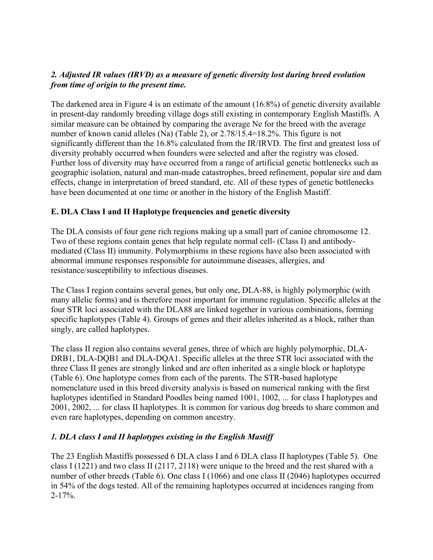# *2. Adjusted IR values (IRVD) as a measure of genetic diversity lost during breed evolution from time of origin to the present time.*

The darkened area in Figure 4 is an estimate of the amount (16.8%) of genetic diversity available in present-day randomly breeding village dogs still existing in contemporary English Mastiffs. A similar measure can be obtained by comparing the average Ne for the breed with the average number of known canid alleles (Na) (Table 2), or 2.78/15.4=18.2%. This figure is not significantly different than the 16.8% calculated from the IR/IRVD. The first and greatest loss of diversity probably occurred when founders were selected and after the registry was closed. Further loss of diversity may have occurred from a range of artificial genetic bottlenecks such as geographic isolation, natural and man-made catastrophes, breed refinement, popular sire and dam effects, change in interpretation of breed standard, etc. All of these types of genetic bottlenecks have been documented at one time or another in the history of the English Mastiff.

# **E. DLA Class I and II Haplotype frequencies and genetic diversity**

The DLA consists of four gene rich regions making up a small part of canine chromosome 12. Two of these regions contain genes that help regulate normal cell- (Class I) and antibodymediated (Class II) immunity. Polymorphisms in these regions have also been associated with abnormal immune responses responsible for autoimmune diseases, allergies, and resistance/susceptibility to infectious diseases.

The Class I region contains several genes, but only one, DLA-88, is highly polymorphic (with many allelic forms) and is therefore most important for immune regulation. Specific alleles at the four STR loci associated with the DLA88 are linked together in various combinations, forming specific haplotypes (Table 4). Groups of genes and their alleles inherited as a block, rather than singly, are called haplotypes.

The class II region also contains several genes, three of which are highly polymorphic, DLA-DRB1, DLA-DOB1 and DLA-DOA1. Specific alleles at the three STR loci associated with the three Class II genes are strongly linked and are often inherited as a single block or haplotype (Table 6). One haplotype comes from each of the parents. The STR-based haplotype nomenclature used in this breed diversity analysis is based on numerical ranking with the first haplotypes identified in Standard Poodles being named 1001, 1002, ... for class I haplotypes and 2001, 2002, ... for class II haplotypes. It is common for various dog breeds to share common and even rare haplotypes, depending on common ancestry.

# *1. DLA class I and II haplotypes existing in the English Mastiff*

The 23 English Mastiffs possessed 6 DLA class I and 6 DLA class II haplotypes (Table 5). One class I (1221) and two class II (2117, 2118) were unique to the breed and the rest shared with a number of other breeds (Table 6). One class I (1066) and one class II (2046) haplotypes occurred in 54% of the dogs tested. All of the remaining haplotypes occurred at incidences ranging from  $2 - 17\%$ .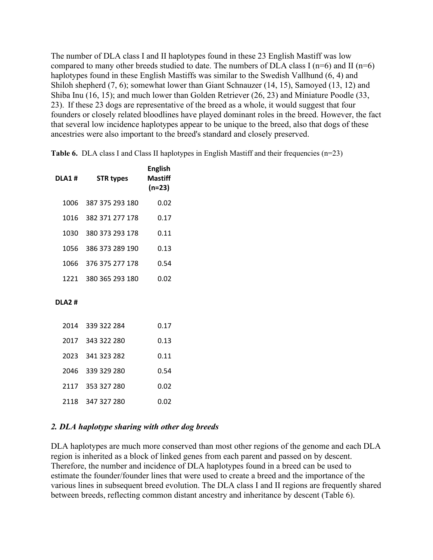The number of DLA class I and II haplotypes found in these 23 English Mastiff was low compared to many other breeds studied to date. The numbers of DLA class I ( $n=6$ ) and II ( $n=6$ ) haplotypes found in these English Mastiffs was similar to the Swedish Vallhund (6, 4) and Shiloh shepherd (7, 6); somewhat lower than Giant Schnauzer (14, 15), Samoyed (13, 12) and Shiba Inu (16, 15); and much lower than Golden Retriever (26, 23) and Miniature Poodle (33, 23). If these 23 dogs are representative of the breed as a whole, it would suggest that four founders or closely related bloodlines have played dominant roles in the breed. However, the fact that several low incidence haplotypes appear to be unique to the breed, also that dogs of these ancestries were also important to the breed's standard and closely preserved.

**Table 6.** DLA class I and Class II haplotypes in English Mastiff and their frequencies (n=23)

| DLA1 #       | <b>STR types</b>     | <b>English</b><br>Mastiff<br>$(n=23)$ |
|--------------|----------------------|---------------------------------------|
| 1006         | 387 375 293 180      | 0.02                                  |
| 1016         | 382 371 277 178      | 0.17                                  |
| 1030         | 380 373 293 178      | 0.11                                  |
| 1056         | 386 373 289 190      | 0.13                                  |
| 1066         | 376 375 277 178      | 0.54                                  |
|              | 1221 380 365 293 180 | 0.02                                  |
| <b>DLA2#</b> |                      |                                       |
| 2014         | 339 322 284          | 0.17                                  |
| 2017         | 343 322 280          | 0.13                                  |
| 2023         | 341 323 282          | 0.11                                  |
| 2046         | 339 329 280          | 0.54                                  |
| 2117         | 353 327 280          | 0.02                                  |

#### *2. DLA haplotype sharing with other dog breeds*

2118 347 327 280 0.02

DLA haplotypes are much more conserved than most other regions of the genome and each DLA region is inherited as a block of linked genes from each parent and passed on by descent. Therefore, the number and incidence of DLA haplotypes found in a breed can be used to estimate the founder/founder lines that were used to create a breed and the importance of the various lines in subsequent breed evolution. The DLA class I and II regions are frequently shared between breeds, reflecting common distant ancestry and inheritance by descent (Table 6).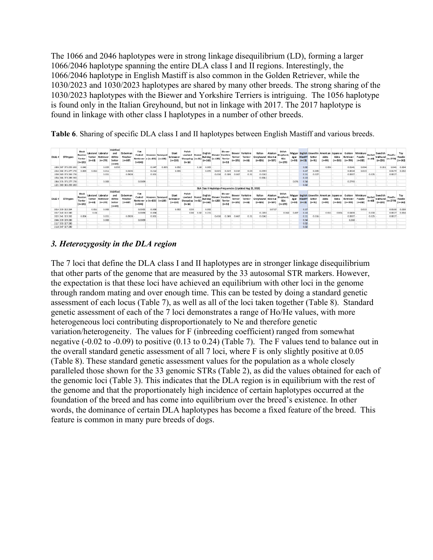The 1066 and 2046 haplotypes were in strong linkage disequilibrium (LD), forming a larger 1066/2046 haplotype spanning the entire DLA class I and II regions. Interestingly, the 1066/2046 haplotype in English Mastiff is also common in the Golden Retriever, while the 1030/2023 and 1030/2023 haplotypes are shared by many other breeds. The strong sharing of the 1030/2023 haplotypes with the Biewer and Yorkshire Terriers is intriguing. The 1056 haplotype is found only in the Italian Greyhound, but not in linkage with 2017. The 2017 haplotype is found in linkage with other class I haplotypes in a number of other breeds.

**Table 6**. Sharing of specific DLA class I and II haplotypes between English Mastiff and various breeds.

| DLA1 # | <b>STRtypes</b>      | Black<br>Russian<br>Terrier<br>$(n=131)$ | Temler<br>$(n = 63)$ | Lakeland Labrador<br>Retriever<br>$(n = 178)$ | Irish Red<br>and<br>White<br>Setter<br>$(n-59)$ | Do berman<br>Pinsche i<br>$(n-587)$    | Fiat<br>Coxted<br>Retriever e (n=423) (n=189)<br>$(n-541)$ | Havanes Samoyed                              |       | Glant<br>Schnauzer<br>$(n = 210)$ | Polish<br>Lowland Borzol<br>Sheepdog (n=31)<br>$(n-16)$ |        | Engl ish<br>Bull dog<br>$(n=163)$ |            | Bie wer<br><b>Biewer Yorshire</b><br>$(n=120)$ Terrier<br>$(n = 53)$ | Blewer<br>Terri er<br>$(n - 105)$ | Yorkshire<br><b>Terrer</b><br>$(n-16)$                    | Italian<br>Greyhound<br>$(n = 326)$ | Alaskan<br>KleeKal<br>$(n = 537)$ | Shilloh<br>Shepherd<br><b>ISSA</b><br>$(n = 179)$ | Azar<br>$(n-59)$           | Mastiff<br>$(n-23)$  | Setter<br>$(n - 91)$                             | Magyar English Llewellin American Japanese Golden<br>Akita<br>$(n-99)$ | Akita<br>$(n = 353)$             | Retriever<br>$(n - 709)$           | Miniature<br>Poodle<br>$(n-282)$ | <b>Rarbet</b><br>$ln = 60$ | Swedish<br>Vallhund<br>$(n = 220)$ | Pood e<br>$(n = 2770)$  | Toy<br>Poodle<br>$(n=342)$ |
|--------|----------------------|------------------------------------------|----------------------|-----------------------------------------------|-------------------------------------------------|----------------------------------------|------------------------------------------------------------|----------------------------------------------|-------|-----------------------------------|---------------------------------------------------------|--------|-----------------------------------|------------|----------------------------------------------------------------------|-----------------------------------|-----------------------------------------------------------|-------------------------------------|-----------------------------------|---------------------------------------------------|----------------------------|----------------------|--------------------------------------------------|------------------------------------------------------------------------|----------------------------------|------------------------------------|----------------------------------|----------------------------|------------------------------------|-------------------------|----------------------------|
|        | 1006 387 375 293 180 | 0.042                                    |                      | 0.039                                         | 0.059                                           |                                        |                                                            | 0.047                                        | 0.005 | 0.052                             |                                                         | 0.38   | 0.00B                             |            |                                                                      |                                   |                                                           |                                     |                                   |                                                   |                            | 0.02                 |                                                  | 0.056                                                                  |                                  | 0.0141                             | 0004                             |                            | 0.261                              | 0046                    | 0.00                       |
|        | 1016 382 371 277 178 | 0.008                                    | 0.016                | 0.011                                         |                                                 | 0.0136                                 |                                                            | 0.212                                        |       | 0.096                             |                                                         |        | 0.095                             | 0025       | 0.019                                                                | 0.019                             | 0.03                                                      | 0.0393                              |                                   |                                                   |                            | 0.17                 | 0.005                                            |                                                                        |                                  | 0.0014                             | 0023                             |                            |                                    | 0.0179                  | 0.03                       |
|        | 1080 380 373 293 178 |                                          |                      | 0.031                                         |                                                 | 0.0928                                 |                                                            | 0.000                                        |       |                                   |                                                         |        |                                   | 0.458      | 0.349                                                                | 0.467                             | 0.31                                                      | 0.0242                              |                                   |                                                   |                            | 0.11                 | 0.027                                            |                                                                        |                                  | 0.0007                             |                                  | 0.025                      |                                    | 0.0027                  |                            |
|        | 1056 386 373 289 190 |                                          |                      |                                               |                                                 |                                        |                                                            |                                              |       |                                   |                                                         |        |                                   |            |                                                                      |                                   |                                                           | 0.0061                              |                                   |                                                   |                            | 0.13                 |                                                  |                                                                        |                                  |                                    |                                  |                            |                                    |                         |                            |
|        | 1066 376 375 277 178 |                                          |                      | 0.008                                         |                                                 |                                        | 0.0009                                                     |                                              |       |                                   |                                                         |        |                                   |            |                                                                      |                                   |                                                           |                                     |                                   |                                                   | 0.075                      | 0.54                 |                                                  |                                                                        |                                  | 0.2793                             |                                  |                            |                                    |                         |                            |
|        | 1221 380 365 293 180 |                                          |                      |                                               |                                                 |                                        |                                                            |                                              |       |                                   |                                                         |        |                                   |            |                                                                      |                                   |                                                           |                                     |                                   |                                                   |                            | 0.02                 |                                                  |                                                                        |                                  |                                    |                                  |                            |                                    |                         |                            |
|        |                      |                                          |                      |                                               |                                                 |                                        |                                                            |                                              |       |                                   |                                                         |        |                                   |            |                                                                      |                                   | DLA Class II Haplotype Frequencies (Updated Aug 22, 2019) |                                     |                                   |                                                   |                            |                      |                                                  |                                                                        |                                  |                                    |                                  |                            |                                    |                         |                            |
|        |                      |                                          |                      |                                               | Irish Red                                       |                                        |                                                            |                                              |       |                                   |                                                         |        |                                   |            |                                                                      |                                   |                                                           |                                     |                                   |                                                   |                            |                      |                                                  |                                                                        |                                  |                                    |                                  |                            |                                    |                         |                            |
| DLAZ # | <b>STRtypes</b>      | Black<br>Russian<br>Terrier<br>$(n=131)$ | Temler<br>$ln=63$    | Lakeland Labrador<br>Retriever<br>$(n = 178)$ | and<br>White<br>Setter<br>$(n-59)$              | Do berm an<br>Pinsche i<br>$(n - 587)$ | Flat<br>Costed<br>Retrie ver<br>$(n-541)$                  | Havanes Samoyed<br>$ e $ (n=423) $ $ (n=189) |       | Glant<br>Schnauzer<br>$(n = 210)$ | Pollsh<br>Lowland<br>Sheepdog (n=31)<br>$(n=16)$        | Borzol | Engl ish<br>Bull dog<br>$(n=163)$ | $(n=1.20)$ | Bie wer<br>Biewer Yorshire<br>Terrier<br>$(n = 53)$                  | Biewer<br>Terri er<br>$(n - 105)$ | Yorkshi re<br><b>Terner</b><br>$(n - 16)$                 | Italian<br>Greyhound<br>$(n = 326)$ | Alaskan<br>KleeKa<br>$(n = 537)$  | Shilloh<br>Shepherd<br>ISSA<br>$(n=179)$          | Maryar<br>Azar<br>$(n-59)$ | Mas tiff<br>$(n-23)$ | <b>Bratish Liewellin</b><br>Setter<br>$(n - 91)$ | American<br>Akita<br>$(n-99)$                                          | Japanese<br>Akita<br>$(n = 353)$ | Golden<br>Retriever<br>$(n - 709)$ | Miniature<br>Poodle<br>$(n-282)$ | Barbet<br>$ln = 60$        | Swedish<br>Vallhund<br>$(n = 220)$ | Poodl e<br>$(n = 2770)$ | Toy<br>Poodle<br>$(n=342)$ |
|        | 2014 339 322 284     |                                          | 0.016                | 0.00B                                         |                                                 |                                        | 0.0305                                                     | 0.008                                        |       | 0.002                             | 0.59                                                    |        | 0.092                             |            |                                                                      |                                   |                                                           |                                     | 00717                             |                                                   |                            | 0.17                 |                                                  |                                                                        |                                  |                                    | 0.023                            |                            |                                    | 0.0168                  | 0.021                      |
|        | 2017 343 322 280     |                                          | 0.04                 |                                               |                                                 |                                        | 0.0009                                                     | 0.008                                        |       |                                   | 0.38                                                    | 0.02   | 0.215                             |            |                                                                      |                                   |                                                           | 0.2203                              |                                   | 0.363                                             | 0.40                       |                      |                                                  | 0.015                                                                  | 0.006                            | 0.0405                             |                                  | 0.033                      |                                    | 0.0027                  | 0.00                       |
|        | 2023 341 323 282     | 0.004                                    |                      | 0.031                                         |                                                 | 0.0928                                 |                                                            | 0.000                                        |       |                                   |                                                         |        |                                   | 0.458      | 0.349                                                                | 0.467                             | 0.31                                                      | 0.0242                              |                                   |                                                   |                            | 0.11                 | 0.015                                            |                                                                        |                                  | 0.0007                             |                                  | 0.025                      |                                    | 0.0027                  |                            |
|        | 2046 339 329 280     |                                          |                      | 0.00B                                         |                                                 |                                        | 0.0009                                                     |                                              |       |                                   |                                                         |        |                                   |            |                                                                      |                                   |                                                           |                                     |                                   |                                                   |                            | 0.54                 |                                                  |                                                                        |                                  | 0.268                              |                                  |                            |                                    |                         |                            |
|        | 2117 353 327 280     |                                          |                      |                                               |                                                 |                                        |                                                            |                                              |       |                                   |                                                         |        |                                   |            |                                                                      |                                   |                                                           |                                     |                                   |                                                   |                            | 0.02                 |                                                  |                                                                        |                                  |                                    |                                  |                            |                                    |                         |                            |

# *3. Heterozygosity in the DLA region*

The 7 loci that define the DLA class I and II haplotypes are in stronger linkage disequilibrium that other parts of the genome that are measured by the 33 autosomal STR markers. However, the expectation is that these loci have achieved an equilibrium with other loci in the genome through random mating and over enough time. This can be tested by doing a standard genetic assessment of each locus (Table 7), as well as all of the loci taken together (Table 8). Standard genetic assessment of each of the 7 loci demonstrates a range of Ho/He values, with more heterogeneous loci contributing disproportionately to Ne and therefore genetic variation/heterogeneity. The values for F (inbreeding coefficient) ranged from somewhat negative (-0.02 to -0.09) to positive (0.13 to 0.24) (Table 7). The F values tend to balance out in the overall standard genetic assessment of all 7 loci, where F is only slightly positive at 0.05 (Table 8). These standard genetic assessment values for the population as a whole closely paralleled those shown for the 33 genomic STRs (Table 2), as did the values obtained for each of the genomic loci (Table 3). This indicates that the DLA region is in equilibrium with the rest of the genome and that the proportionately high incidence of certain haplotypes occurred at the foundation of the breed and has come into equilibrium over the breed's existence. In other words, the dominance of certain DLA haplotypes has become a fixed feature of the breed. This feature is common in many pure breeds of dogs.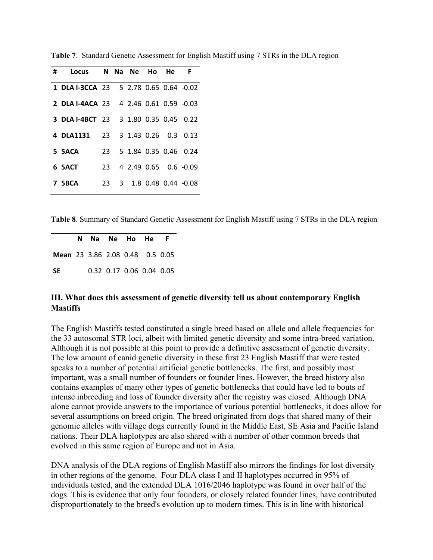| # Locus N Na Ne Ho He F                       |  |  |                          |
|-----------------------------------------------|--|--|--------------------------|
| 1 DLA I-3CCA 23 5 2.78 0.65 0.64 -0.02        |  |  |                          |
| <b>2 DLA I-4ACA 23 4 2.46 0.61 0.59 -0.03</b> |  |  |                          |
| 3 DLA I-4BCT 23 3 1.80 0.35 0.45 0.22         |  |  |                          |
| 4 DLA1131 23 3 1.43 0.26 0.3 0.13             |  |  |                          |
| 5 5ACA                                        |  |  | 23 5 1.84 0.35 0.46 0.24 |
| 23 4 2.49 0.65 0.6 -0.09<br>6 SACT            |  |  |                          |
| <b>7 5BCA</b>                                 |  |  | 23 3 1.8 0.48 0.44 -0.08 |

**Table 7**. Standard Genetic Assessment for English Mastiff using 7 STRs in the DLA region

**Table 8**. Summary of Standard Genetic Assessment for English Mastiff using 7 STRs in the DLA region

|                                        |  | N Na Ne Ho He |  | - F                      |
|----------------------------------------|--|---------------|--|--------------------------|
| <b>Mean</b> 23 3.86 2.08 0.48 0.5 0.05 |  |               |  |                          |
| -SE                                    |  |               |  | 0.32 0.17 0.06 0.04 0.05 |

# **III. What does this assessment of genetic diversity tell us about contemporary English Mastiffs**

The English Mastiffs tested constituted a single breed based on allele and allele frequencies for the 33 autosomal STR loci, albeit with limited genetic diversity and some intra-breed variation. Although it is not possible at this point to provide a definitive assessment of genetic diversity. The low amount of canid genetic diversity in these first 23 English Mastiff that were tested speaks to a number of potential artificial genetic bottlenecks. The first, and possibly most important, was a small number of founders or founder lines. However, the breed history also contains examples of many other types of genetic bottlenecks that could have led to bouts of intense inbreeding and loss of founder diversity after the registry was closed. Although DNA alone cannot provide answers to the importance of various potential bottlenecks, it does allow for several assumptions on breed origin. The breed originated from dogs that shared many of their genomic alleles with village dogs currently found in the Middle East, SE Asia and Pacific Island nations. Their DLA haplotypes are also shared with a number of other common breeds that evolved in this same region of Europe and not in Asia.

DNA analysis of the DLA regions of English Mastiff also mirrors the findings for lost diversity in other regions of the genome. Four DLA class I and II haplotypes occurred in 95% of individuals tested, and the extended DLA 1016/2046 haplotype was found in over half of the dogs. This is evidence that only four founders, or closely related founder lines, have contributed disproportionately to the breed's evolution up to modern times. This is in line with historical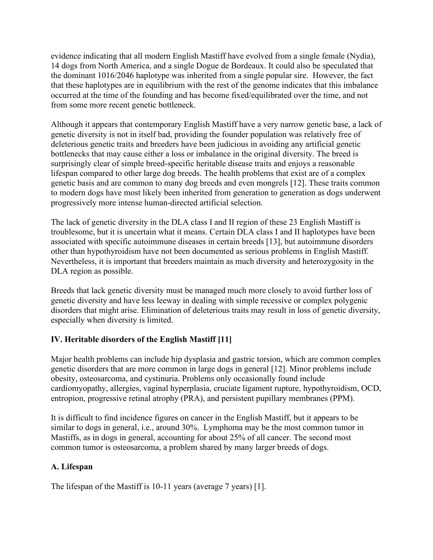evidence indicating that all modern English Mastiff have evolved from a single female (Nydia), 14 dogs from North America, and a single Dogue de Bordeaux. It could also be speculated that the dominant 1016/2046 haplotype was inherited from a single popular sire. However, the fact that these haplotypes are in equilibrium with the rest of the genome indicates that this imbalance occurred at the time of the founding and has become fixed/equilibrated over the time, and not from some more recent genetic bottleneck.

Although it appears that contemporary English Mastiff have a very narrow genetic base, a lack of genetic diversity is not in itself bad, providing the founder population was relatively free of deleterious genetic traits and breeders have been judicious in avoiding any artificial genetic bottlenecks that may cause either a loss or imbalance in the original diversity. The breed is surprisingly clear of simple breed-specific heritable disease traits and enjoys a reasonable lifespan compared to other large dog breeds. The health problems that exist are of a complex genetic basis and are common to many dog breeds and even mongrels [12]. These traits common to modern dogs have most likely been inherited from generation to generation as dogs underwent progressively more intense human-directed artificial selection.

The lack of genetic diversity in the DLA class I and II region of these 23 English Mastiff is troublesome, but it is uncertain what it means. Certain DLA class I and II haplotypes have been associated with specific autoimmune diseases in certain breeds [13], but autoimmune disorders other than hypothyroidism have not been documented as serious problems in English Mastiff. Nevertheless, it is important that breeders maintain as much diversity and heterozygosity in the DLA region as possible.

Breeds that lack genetic diversity must be managed much more closely to avoid further loss of genetic diversity and have less leeway in dealing with simple recessive or complex polygenic disorders that might arise. Elimination of deleterious traits may result in loss of genetic diversity, especially when diversity is limited.

# **IV. Heritable disorders of the English Mastiff [11]**

Major health problems can include hip dysplasia and gastric torsion, which are common complex genetic disorders that are more common in large dogs in general [12]. Minor problems include obesity, osteosarcoma, and cystinuria. Problems only occasionally found include cardiomyopathy, allergies, vaginal [hyperplasia,](https://en.wikipedia.org/wiki/Hyperplasia) cruciate ligament rupture, hypothyroidism, OCD, entropion, progressive retinal atrophy (PRA), and persistent pupillary membranes (PPM).

It is difficult to find incidence figures on cancer in the English Mastiff, but it appears to be similar to dogs in general, i.e., around 30%. Lymphoma may be the most common tumor in Mastiffs, as in dogs in general, accounting for about 25% of all cancer. The second most common tumor is osteosarcoma, a problem shared by many larger breeds of dogs.

# **A. Lifespan**

The lifespan of the Mastiff is 10-11 years (average 7 years) [1].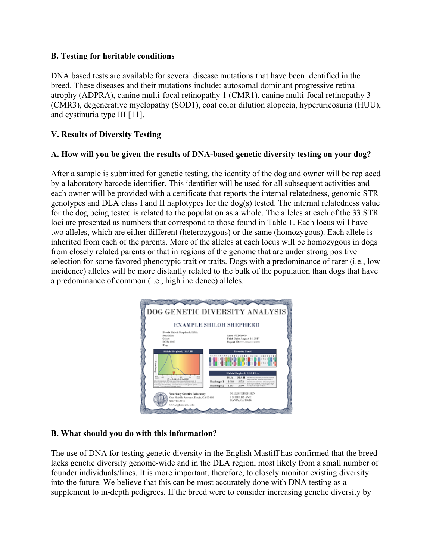# **B. Testing for heritable conditions**

DNA based tests are available for several disease mutations that have been identified in the breed. These diseases and their mutations include: autosomal dominant progressive retinal atrophy (ADPRA), canine multi-focal retinopathy 1 (CMR1), canine multi-focal retinopathy 3 (CMR3), degenerative myelopathy (SOD1), coat color dilution alopecia, hyperuricosuria (HUU), and cystinuria type III [11].

# **V. Results of Diversity Testing**

#### **A. How will you be given the results of DNA-based genetic diversity testing on your dog?**

After a sample is submitted for genetic testing, the identity of the dog and owner will be replaced by a laboratory barcode identifier. This identifier will be used for all subsequent activities and each owner will be provided with a certificate that reports the internal relatedness, genomic STR genotypes and DLA class I and II haplotypes for the dog(s) tested. The internal relatedness value for the dog being tested is related to the population as a whole. The alleles at each of the 33 STR loci are presented as numbers that correspond to those found in Table 1. Each locus will have two alleles, which are either different (heterozygous) or the same (homozygous). Each allele is inherited from each of the parents. More of the alleles at each locus will be homozygous in dogs from closely related parents or that in regions of the genome that are under strong positive selection for some favored phenotypic trait or traits. Dogs with a predominance of rarer (i.e., low incidence) alleles will be more distantly related to the bulk of the population than dogs that have a predominance of common (i.e., high incidence) alleles.



# **B. What should you do with this information?**

The use of DNA for testing genetic diversity in the English Mastiff has confirmed that the breed lacks genetic diversity genome-wide and in the DLA region, most likely from a small number of founder individuals/lines. It is more important, therefore, to closely monitor existing diversity into the future. We believe that this can be most accurately done with DNA testing as a supplement to in-depth pedigrees. If the breed were to consider increasing genetic diversity by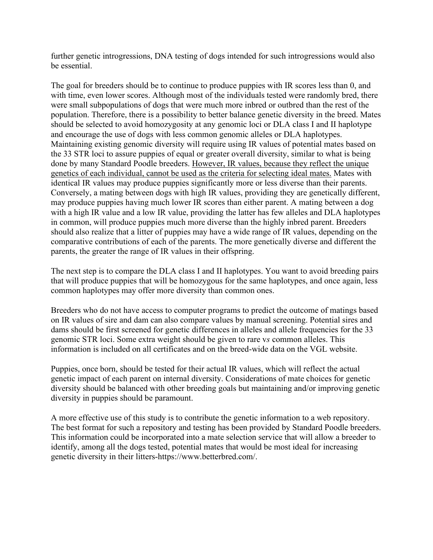further genetic introgressions, DNA testing of dogs intended for such introgressions would also be essential.

The goal for breeders should be to continue to produce puppies with IR scores less than 0, and with time, even lower scores. Although most of the individuals tested were randomly bred, there were small subpopulations of dogs that were much more inbred or outbred than the rest of the population. Therefore, there is a possibility to better balance genetic diversity in the breed. Mates should be selected to avoid homozygosity at any genomic loci or DLA class I and II haplotype and encourage the use of dogs with less common genomic alleles or DLA haplotypes. Maintaining existing genomic diversity will require using IR values of potential mates based on the 33 STR loci to assure puppies of equal or greater overall diversity, similar to what is being done by many Standard Poodle breeders. However, IR values, because they reflect the unique genetics of each individual, cannot be used as the criteria for selecting ideal mates. Mates with identical IR values may produce puppies significantly more or less diverse than their parents. Conversely, a mating between dogs with high IR values, providing they are genetically different, may produce puppies having much lower IR scores than either parent. A mating between a dog with a high IR value and a low IR value, providing the latter has few alleles and DLA haplotypes in common, will produce puppies much more diverse than the highly inbred parent. Breeders should also realize that a litter of puppies may have a wide range of IR values, depending on the comparative contributions of each of the parents. The more genetically diverse and different the parents, the greater the range of IR values in their offspring.

The next step is to compare the DLA class I and II haplotypes. You want to avoid breeding pairs that will produce puppies that will be homozygous for the same haplotypes, and once again, less common haplotypes may offer more diversity than common ones.

Breeders who do not have access to computer programs to predict the outcome of matings based on IR values of sire and dam can also compare values by manual screening. Potential sires and dams should be first screened for genetic differences in alleles and allele frequencies for the 33 genomic STR loci. Some extra weight should be given to rare v*s* common alleles. This information is included on all certificates and on the breed-wide data on the VGL website.

Puppies, once born, should be tested for their actual IR values, which will reflect the actual genetic impact of each parent on internal diversity. Considerations of mate choices for genetic diversity should be balanced with other breeding goals but maintaining and/or improving genetic diversity in puppies should be paramount.

A more effective use of this study is to contribute the genetic information to a web repository. The best format for such a repository and testing has been provided by Standard Poodle breeders. This information could be incorporated into a mate selection service that will allow a breeder to identify, among all the dogs tested, potential mates that would be most ideal for increasing genetic diversity in their litters-https://www.betterbred.com/.